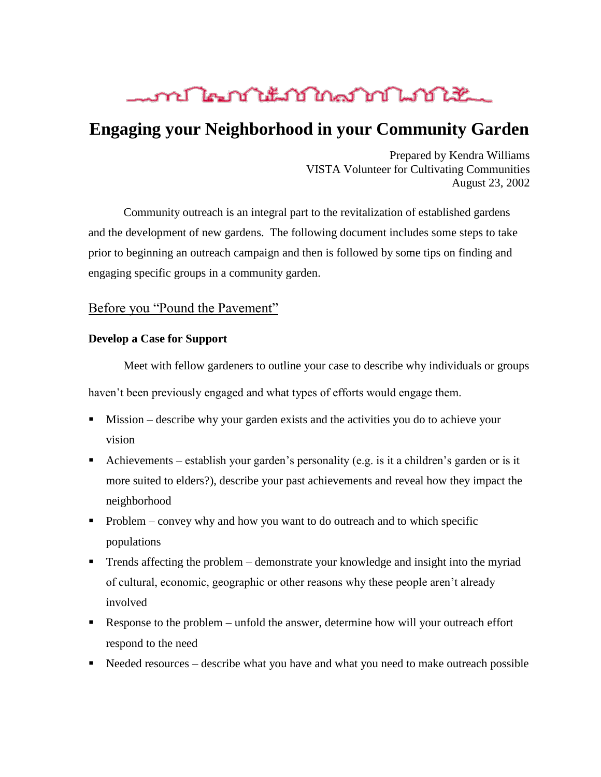## <u> mentikan ing dipunuhkan dalam sebagai dan sebagai dalam sebagai dalam sebagai dalam sebagai dalam sebagai dala</u>

## **Engaging your Neighborhood in your Community Garden**

Prepared by Kendra Williams VISTA Volunteer for Cultivating Communities August 23, 2002

Community outreach is an integral part to the revitalization of established gardens and the development of new gardens. The following document includes some steps to take prior to beginning an outreach campaign and then is followed by some tips on finding and engaging specific groups in a community garden.

### Before you "Pound the Pavement"

#### **Develop a Case for Support**

Meet with fellow gardeners to outline your case to describe why individuals or groups haven't been previously engaged and what types of efforts would engage them.

- Mission describe why your garden exists and the activities you do to achieve your vision
- Achievements establish your garden's personality (e.g. is it a children's garden or is it more suited to elders?), describe your past achievements and reveal how they impact the neighborhood
- $\blacksquare$  Problem convey why and how you want to do outreach and to which specific populations
- Trends affecting the problem demonstrate your knowledge and insight into the myriad of cultural, economic, geographic or other reasons why these people aren't already involved
- Response to the problem unfold the answer, determine how will your outreach effort respond to the need
- Needed resources describe what you have and what you need to make outreach possible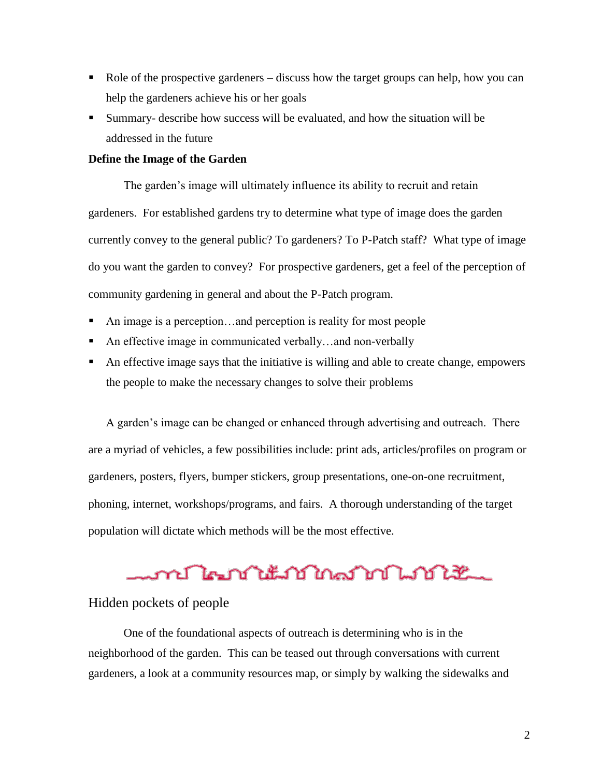- Role of the prospective gardeners discuss how the target groups can help, how you can help the gardeners achieve his or her goals
- Summary- describe how success will be evaluated, and how the situation will be addressed in the future

#### **Define the Image of the Garden**

The garden's image will ultimately influence its ability to recruit and retain gardeners. For established gardens try to determine what type of image does the garden currently convey to the general public? To gardeners? To P-Patch staff? What type of image do you want the garden to convey? For prospective gardeners, get a feel of the perception of community gardening in general and about the P-Patch program.

- An image is a perception…and perception is reality for most people
- An effective image in communicated verbally…and non-verbally
- An effective image says that the initiative is willing and able to create change, empowers the people to make the necessary changes to solve their problems

A garden's image can be changed or enhanced through advertising and outreach. There are a myriad of vehicles, a few possibilities include: print ads, articles/profiles on program or gardeners, posters, flyers, bumper stickers, group presentations, one-on-one recruitment, phoning, internet, workshops/programs, and fairs. A thorough understanding of the target population will dictate which methods will be the most effective.

# ment lang international ment like

### Hidden pockets of people

One of the foundational aspects of outreach is determining who is in the neighborhood of the garden. This can be teased out through conversations with current gardeners, a look at a community resources map, or simply by walking the sidewalks and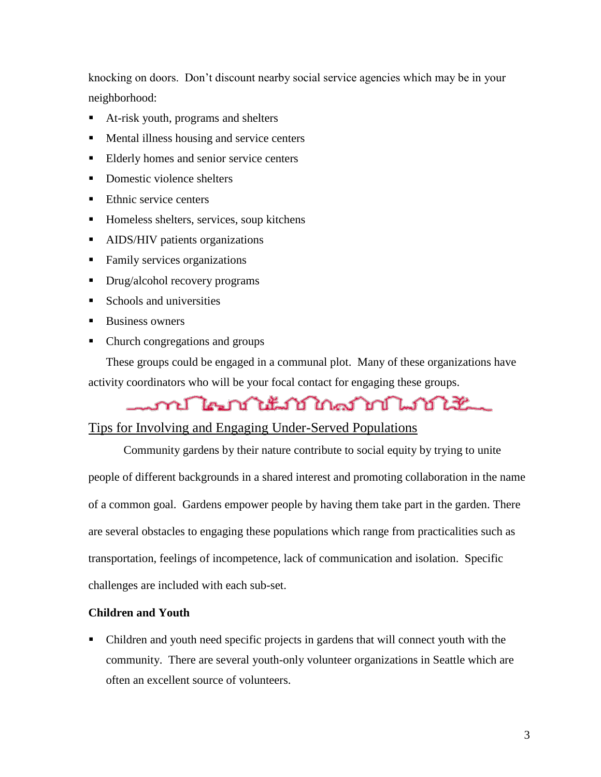knocking on doors. Don't discount nearby social service agencies which may be in your neighborhood:

- At-risk youth, programs and shelters
- **Mental illness housing and service centers**
- Elderly homes and senior service centers
- Domestic violence shelters
- Ethnic service centers
- **Homeless shelters, services, soup kitchens**
- **AIDS/HIV** patients organizations
- Family services organizations
- Drug/alcohol recovery programs
- $\blacksquare$  Schools and universities
- Business owners
- Church congregations and groups

These groups could be engaged in a communal plot. Many of these organizations have activity coordinators who will be your focal contact for engaging these groups.

## 

## Tips for Involving and Engaging Under-Served Populations

Community gardens by their nature contribute to social equity by trying to unite people of different backgrounds in a shared interest and promoting collaboration in the name of a common goal. Gardens empower people by having them take part in the garden. There are several obstacles to engaging these populations which range from practicalities such as transportation, feelings of incompetence, lack of communication and isolation. Specific challenges are included with each sub-set.

### **Children and Youth**

 Children and youth need specific projects in gardens that will connect youth with the community. There are several youth-only volunteer organizations in Seattle which are often an excellent source of volunteers.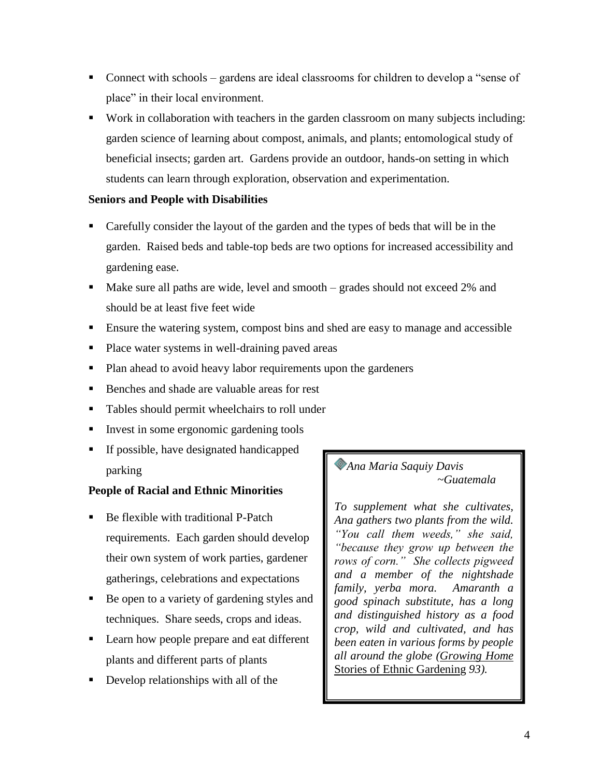- Connect with schools gardens are ideal classrooms for children to develop a "sense of place" in their local environment.
- Work in collaboration with teachers in the garden classroom on many subjects including: garden science of learning about compost, animals, and plants; entomological study of beneficial insects; garden art. Gardens provide an outdoor, hands-on setting in which students can learn through exploration, observation and experimentation.

### **Seniors and People with Disabilities**

- Carefully consider the layout of the garden and the types of beds that will be in the garden. Raised beds and table-top beds are two options for increased accessibility and gardening ease.
- Make sure all paths are wide, level and smooth grades should not exceed 2% and should be at least five feet wide
- Ensure the watering system, compost bins and shed are easy to manage and accessible
- Place water systems in well-draining paved areas
- Plan ahead to avoid heavy labor requirements upon the gardeners
- Benches and shade are valuable areas for rest
- Tables should permit wheelchairs to roll under
- Invest in some ergonomic gardening tools
- If possible, have designated handicapped parking

### **People of Racial and Ethnic Minorities**

- Be flexible with traditional P-Patch requirements. Each garden should develop their own system of work parties, gardener gatherings, celebrations and expectations
- Be open to a variety of gardening styles and techniques. Share seeds, crops and ideas.
- Learn how people prepare and eat different plants and different parts of plants
- Develop relationships with all of the

*Ana Maria Saquiy Davis ~Guatemala*

*To supplement what she cultivates, Ana gathers two plants from the wild. "You call them weeds," she said, "because they grow up between the rows of corn." She collects pigweed and a member of the nightshade family, yerba mora. Amaranth a good spinach substitute, has a long and distinguished history as a food crop, wild and cultivated, and has been eaten in various forms by people all around the globe (Growing Home*  Stories of Ethnic Gardening *93).*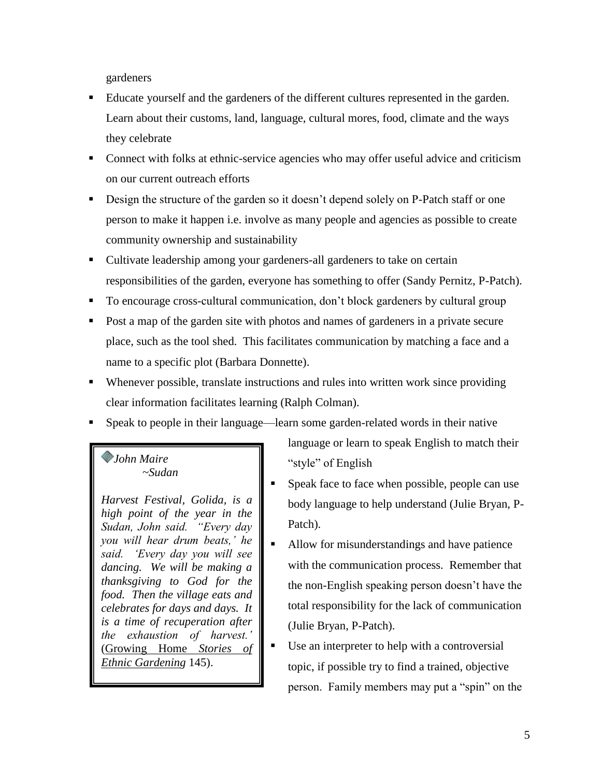gardeners

- Educate yourself and the gardeners of the different cultures represented in the garden. Learn about their customs, land, language, cultural mores, food, climate and the ways they celebrate
- Connect with folks at ethnic-service agencies who may offer useful advice and criticism on our current outreach efforts
- Design the structure of the garden so it doesn't depend solely on P-Patch staff or one person to make it happen i.e. involve as many people and agencies as possible to create community ownership and sustainability
- Cultivate leadership among your gardeners-all gardeners to take on certain responsibilities of the garden, everyone has something to offer (Sandy Pernitz, P-Patch).
- To encourage cross-cultural communication, don't block gardeners by cultural group
- Post a map of the garden site with photos and names of gardeners in a private secure place, such as the tool shed. This facilitates communication by matching a face and a name to a specific plot (Barbara Donnette).
- Whenever possible, translate instructions and rules into written work since providing clear information facilitates learning (Ralph Colman).
- Speak to people in their language—learn some garden-related words in their native

### *John Maire ~Sudan*

*Harvest Festival, Golida, is a high point of the year in the Sudan, John said. "Every day you will hear drum beats," he said. "Every day you will see dancing. We will be making a thanksgiving to God for the food. Then the village eats and celebrates for days and days. It is a time of recuperation after the exhaustion of harvest."*  (Growing Home *Stories of Ethnic Gardening* 145).

language or learn to speak English to match their "style" of English

- Speak face to face when possible, people can use body language to help understand (Julie Bryan, P-Patch).
- Allow for misunderstandings and have patience with the communication process. Remember that the non-English speaking person doesn't have the total responsibility for the lack of communication (Julie Bryan, P-Patch).
	- Use an interpreter to help with a controversial topic, if possible try to find a trained, objective person. Family members may put a "spin" on the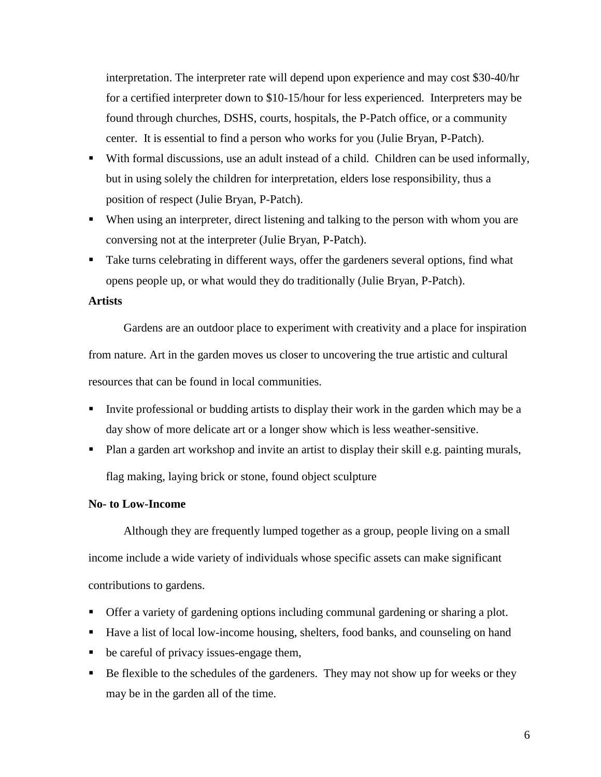interpretation. The interpreter rate will depend upon experience and may cost \$30-40/hr for a certified interpreter down to \$10-15/hour for less experienced. Interpreters may be found through churches, DSHS, courts, hospitals, the P-Patch office, or a community center. It is essential to find a person who works for you (Julie Bryan, P-Patch).

- With formal discussions, use an adult instead of a child. Children can be used informally, but in using solely the children for interpretation, elders lose responsibility, thus a position of respect (Julie Bryan, P-Patch).
- When using an interpreter, direct listening and talking to the person with whom you are conversing not at the interpreter (Julie Bryan, P-Patch).
- Take turns celebrating in different ways, offer the gardeners several options, find what opens people up, or what would they do traditionally (Julie Bryan, P-Patch).

#### **Artists**

Gardens are an outdoor place to experiment with creativity and a place for inspiration from nature. Art in the garden moves us closer to uncovering the true artistic and cultural resources that can be found in local communities.

- Invite professional or budding artists to display their work in the garden which may be a day show of more delicate art or a longer show which is less weather-sensitive.
- Plan a garden art workshop and invite an artist to display their skill e.g. painting murals, flag making, laying brick or stone, found object sculpture

#### **No- to Low-Income**

Although they are frequently lumped together as a group, people living on a small income include a wide variety of individuals whose specific assets can make significant contributions to gardens.

- Offer a variety of gardening options including communal gardening or sharing a plot.
- Have a list of local low-income housing, shelters, food banks, and counseling on hand
- be careful of privacy issues-engage them,
- Be flexible to the schedules of the gardeners. They may not show up for weeks or they may be in the garden all of the time.